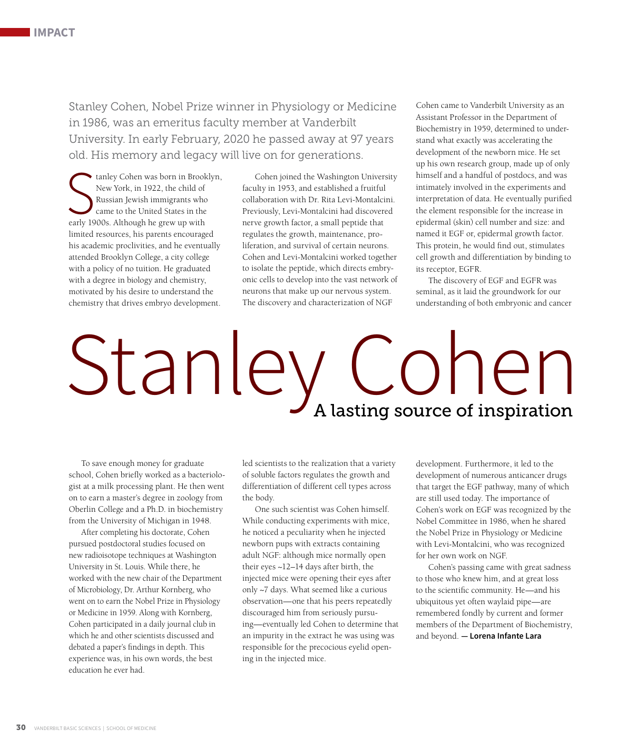Stanley Cohen, Nobel Prize winner in Physiology or Medicine in 1986, was an emeritus faculty member at Vanderbilt University. In early February, 2020 he passed away at 97 years old. His memory and legacy will live on for generations.

tanley Cohen was born in Brook<br>
New York, in 1922, the child of<br>
Russian Jewish immigrants who<br>
came to the United States in the<br>
early 1900s. Although he grew up with tanley Cohen was born in Brooklyn, New York, in 1922, the child of Russian Jewish immigrants who came to the United States in the limited resources, his parents encouraged his academic proclivities, and he eventually attended Brooklyn College, a city college with a policy of no tuition. He graduated with a degree in biology and chemistry, motivated by his desire to understand the chemistry that drives embryo development.

Cohen joined the Washington University faculty in 1953, and established a fruitful collaboration with Dr. Rita Levi-Montalcini. Previously, Levi-Montalcini had discovered nerve growth factor, a small peptide that regulates the growth, maintenance, proliferation, and survival of certain neurons. Cohen and Levi-Montalcini worked together to isolate the peptide, which directs embryonic cells to develop into the vast network of neurons that make up our nervous system. The discovery and characterization of NGF

Cohen came to Vanderbilt University as an Assistant Professor in the Department of Biochemistry in 1959, determined to understand what exactly was accelerating the development of the newborn mice. He set up his own research group, made up of only himself and a handful of postdocs, and was intimately involved in the experiments and interpretation of data. He eventually purified the element responsible for the increase in epidermal (skin) cell number and size: and named it EGF or, epidermal growth factor. This protein, he would find out, stimulates cell growth and differentiation by binding to its receptor, EGFR.

The discovery of EGF and EGFR was seminal, as it laid the groundwork for our understanding of both embryonic and cancer

## Stanley Cohen

To save enough money for graduate school, Cohen briefly worked as a bacteriologist at a milk processing plant. He then went on to earn a master's degree in zoology from Oberlin College and a Ph.D. in biochemistry from the University of Michigan in 1948.

After completing his doctorate, Cohen pursued postdoctoral studies focused on new radioisotope techniques at Washington University in St. Louis. While there, he worked with the new chair of the Department of Microbiology, Dr. Arthur Kornberg, who went on to earn the Nobel Prize in Physiology or Medicine in 1959. Along with Kornberg, Cohen participated in a daily journal club in which he and other scientists discussed and debated a paper's findings in depth. This experience was, in his own words, the best education he ever had.

led scientists to the realization that a variety of soluble factors regulates the growth and differentiation of different cell types across the body.

One such scientist was Cohen himself. While conducting experiments with mice, he noticed a peculiarity when he injected newborn pups with extracts containing adult NGF: although mice normally open their eyes ~12–14 days after birth, the injected mice were opening their eyes after only ~7 days. What seemed like a curious observation—one that his peers repeatedly discouraged him from seriously pursuing—eventually led Cohen to determine that an impurity in the extract he was using was responsible for the precocious eyelid opening in the injected mice.

development. Furthermore, it led to the development of numerous anticancer drugs that target the EGF pathway, many of which are still used today. The importance of Cohen's work on EGF was recognized by the Nobel Committee in 1986, when he shared the Nobel Prize in Physiology or Medicine with Levi-Montalcini, who was recognized for her own work on NGF.

Cohen's passing came with great sadness to those who knew him, and at great loss to the scientific community. He—and his ubiquitous yet often waylaid pipe—are remembered fondly by current and former members of the Department of Biochemistry, and beyond. **— Lorena Infante Lara**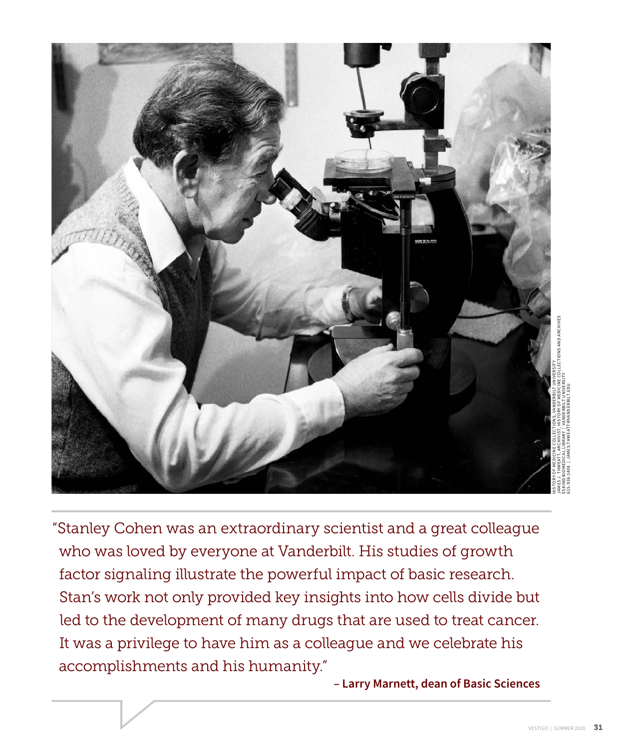

"Stanley Cohen was an extraordinary scientist and a great colleague who was loved by everyone at Vanderbilt. His studies of growth factor signaling illustrate the powerful impact of basic research. Stan's work not only provided key insights into how cells divide but led to the development of many drugs that are used to treat cancer. It was a privilege to have him as a colleague and we celebrate his accomplishments and his humanity."

 **– Larry Marnett, dean of Basic Sciences**